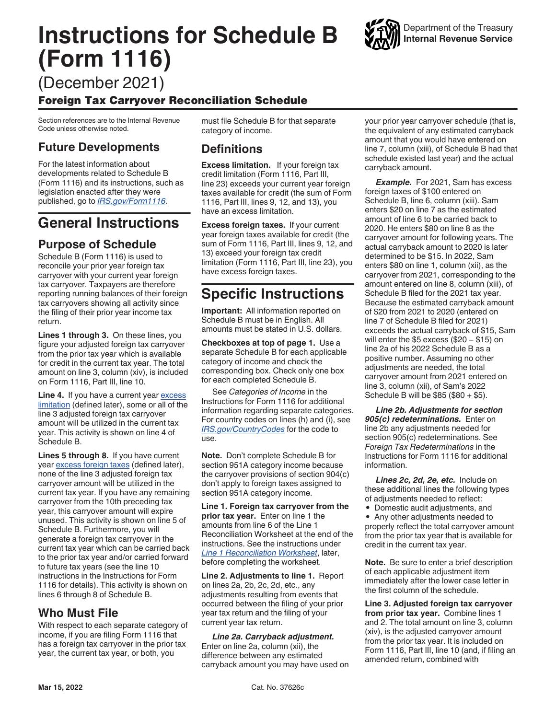# <span id="page-0-0"></span>**Instructions for Schedule B (Form 1116)**



(December 2021)

## Foreign Tax Carryover Reconciliation Schedule

Section references are to the Internal Revenue Code unless otherwise noted.

## **Future Developments**

For the latest information about developments related to Schedule B (Form 1116) and its instructions, such as legislation enacted after they were published, go to *[IRS.gov/Form1116](https://www.irs.gov/Form1116)*.

# **General Instructions**

# **Purpose of Schedule**

Schedule B (Form 1116) is used to reconcile your prior year foreign tax carryover with your current year foreign tax carryover. Taxpayers are therefore reporting running balances of their foreign tax carryovers showing all activity since the filing of their prior year income tax return.

**Lines 1 through 3.** On these lines, you figure your adjusted foreign tax carryover from the prior tax year which is available for credit in the current tax year. The total amount on line 3, column (xiv), is included on Form 1116, Part III, line 10.

**Line 4.** If you have a current year excess limitation (defined later), some or all of the line 3 adjusted foreign tax carryover amount will be utilized in the current tax year. This activity is shown on line 4 of Schedule B.

**Lines 5 through 8.** If you have current year excess foreign taxes (defined later), none of the line 3 adjusted foreign tax carryover amount will be utilized in the current tax year. If you have any remaining carryover from the 10th preceding tax year, this carryover amount will expire unused. This activity is shown on line 5 of Schedule B. Furthermore, you will generate a foreign tax carryover in the current tax year which can be carried back to the prior tax year and/or carried forward to future tax years (see the line 10 instructions in the Instructions for Form 1116 for details). This activity is shown on lines 6 through 8 of Schedule B.

## **Who Must File**

With respect to each separate category of income, if you are filing Form 1116 that has a foreign tax carryover in the prior tax year, the current tax year, or both, you

must file Schedule B for that separate category of income.

# **Definitions**

**Excess limitation.** If your foreign tax credit limitation (Form 1116, Part III, line 23) exceeds your current year foreign taxes available for credit (the sum of Form 1116, Part III, lines 9, 12, and 13), you have an excess limitation.

**Excess foreign taxes.** If your current year foreign taxes available for credit (the sum of Form 1116, Part III, lines 9, 12, and 13) exceed your foreign tax credit limitation (Form 1116, Part III, line 23), you have excess foreign taxes.

# **Specific Instructions**

**Important:** All information reported on Schedule B must be in English. All amounts must be stated in U.S. dollars.

**Checkboxes at top of page 1.** Use a separate Schedule B for each applicable category of income and check the corresponding box. Check only one box for each completed Schedule B.

See *Categories of Income* in the Instructions for Form 1116 for additional information regarding separate categories. For country codes on lines (h) and (i), see *[IRS.gov/CountryCodes](https://www.irs.gov/CountryCodes)* for the code to use.

**Note.** Don't complete Schedule B for section 951A category income because the carryover provisions of section 904(c) don't apply to foreign taxes assigned to section 951A category income.

**Line 1. Foreign tax carryover from the prior tax year.** Enter on line 1 the amounts from line 6 of the Line 1 Reconciliation Worksheet at the end of the instructions. See the instructions under *[Line 1 Reconciliation Worksheet](#page-1-0)*, later, before completing the worksheet.

**Line 2. Adjustments to line 1.** Report on lines 2a, 2b, 2c, 2d, etc., any adjustments resulting from events that occurred between the filing of your prior year tax return and the filing of your current year tax return.

*Line 2a. Carryback adjustment.*  Enter on line 2a, column (xii), the difference between any estimated carryback amount you may have used on your prior year carryover schedule (that is, the equivalent of any estimated carryback amount that you would have entered on line 7, column (xiii), of Schedule B had that schedule existed last year) and the actual carryback amount.

**Example.** For 2021, Sam has excess foreign taxes of \$100 entered on Schedule B, line 6, column (xiii). Sam enters \$20 on line 7 as the estimated amount of line 6 to be carried back to 2020. He enters \$80 on line 8 as the carryover amount for following years. The actual carryback amount to 2020 is later determined to be \$15. In 2022, Sam enters \$80 on line 1, column (xii), as the carryover from 2021, corresponding to the amount entered on line 8, column (xiii), of Schedule B filed for the 2021 tax year. Because the estimated carryback amount of \$20 from 2021 to 2020 (entered on line 7 of Schedule B filed for 2021) exceeds the actual carryback of \$15, Sam will enter the \$5 excess (\$20 – \$15) on line 2a of his 2022 Schedule B as a positive number. Assuming no other adjustments are needed, the total carryover amount from 2021 entered on line 3, column (xii), of Sam's 2022 Schedule B will be \$85 (\$80 + \$5).

*Line 2b. Adjustments for section 905(c) redeterminations.* Enter on line 2b any adjustments needed for section 905(c) redeterminations. See *Foreign Tax Redeterminations* in the Instructions for Form 1116 for additional information.

Lines 2c, 2d, 2e, etc. Include on these additional lines the following types of adjustments needed to reflect:

• Domestic audit adjustments, and

• Any other adjustments needed to properly reflect the total carryover amount from the prior tax year that is available for credit in the current tax year.

**Note.** Be sure to enter a brief description of each applicable adjustment item immediately after the lower case letter in the first column of the schedule.

**Line 3. Adjusted foreign tax carryover from prior tax year.** Combine lines 1 and 2. The total amount on line 3, column (xiv), is the adjusted carryover amount from the prior tax year. It is included on Form 1116, Part III, line 10 (and, if filing an amended return, combined with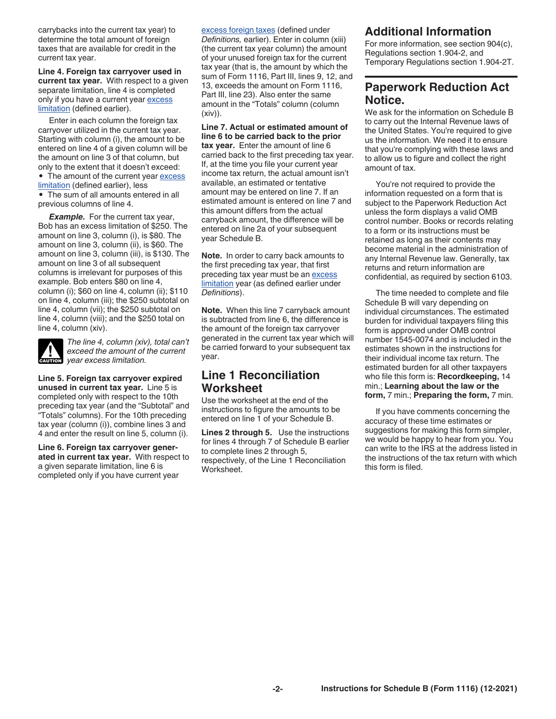<span id="page-1-0"></span>carrybacks into the current tax year) to determine the total amount of foreign taxes that are available for credit in the current tax year.

**Line 4. Foreign tax carryover used in current tax year.** With respect to a given separate limitation, line 4 is completed only if you have a current year [excess](#page-0-0) [limitation](#page-0-0) (defined earlier).

Enter in each column the foreign tax carryover utilized in the current tax year. Starting with column (i), the amount to be entered on line 4 of a given column will be the amount on line 3 of that column, but only to the extent that it doesn't exceed:

• The amount of the current year [excess](#page-0-0) [limitation](#page-0-0) (defined earlier), less • The sum of all amounts entered in all previous columns of line 4.

**Example.** For the current tax year, Bob has an excess limitation of \$250. The amount on line 3, column (i), is \$80. The amount on line 3, column (ii), is \$60. The amount on line 3, column (iii), is \$130. The amount on line 3 of all subsequent columns is irrelevant for purposes of this example. Bob enters \$80 on line 4, column (i); \$60 on line 4, column (ii); \$110 on line 4, column (iii); the \$250 subtotal on line 4, column (vii); the \$250 subtotal on line 4, column (viii); and the \$250 total on line 4, column (xiv).



*The line 4, column (xiv), total can't exceed the amount of the current*  **exceed the amount of**<br>**caution** year excess limitation.

**Line 5. Foreign tax carryover expired unused in current tax year.** Line 5 is completed only with respect to the 10th preceding tax year (and the "Subtotal" and "Totals" columns). For the 10th preceding tax year (column (i)), combine lines 3 and 4 and enter the result on line 5, column (i).

**Line 6. Foreign tax carryover generated in current tax year.** With respect to a given separate limitation, line 6 is completed only if you have current year

[excess foreign taxes](#page-0-0) (defined under

*Definitions,* earlier). Enter in column (xiii) (the current tax year column) the amount of your unused foreign tax for the current tax year (that is, the amount by which the sum of Form 1116, Part III, lines 9, 12, and 13, exceeds the amount on Form 1116, Part III, line 23). Also enter the same amount in the "Totals" column (column (xiv)).

**Line 7. Actual or estimated amount of line 6 to be carried back to the prior tax year.** Enter the amount of line 6 carried back to the first preceding tax year. If, at the time you file your current year income tax return, the actual amount isn't available, an estimated or tentative amount may be entered on line 7. If an estimated amount is entered on line 7 and this amount differs from the actual carryback amount, the difference will be entered on line 2a of your subsequent year Schedule B.

**Note.** In order to carry back amounts to the first preceding tax year, that first preceding tax year must be an excess [limitation](#page-0-0) year (as defined earlier under *Definitions*).

**Note.** When this line 7 carryback amount is subtracted from line 6, the difference is the amount of the foreign tax carryover generated in the current tax year which will be carried forward to your subsequent tax year.

#### **Line 1 Reconciliation Worksheet**

Use the worksheet at the end of the instructions to figure the amounts to be entered on line 1 of your Schedule B.

**Lines 2 through 5.** Use the instructions for lines 4 through 7 of Schedule B earlier to complete lines 2 through 5, respectively, of the Line 1 Reconciliation Worksheet.

#### **Additional Information**

For more information, see section 904(c), Regulations section 1.904-2, and Temporary Regulations section 1.904-2T.

## **Paperwork Reduction Act Notice.**

We ask for the information on Schedule B to carry out the Internal Revenue laws of the United States. You're required to give us the information. We need it to ensure that you're complying with these laws and to allow us to figure and collect the right amount of tax.

You're not required to provide the information requested on a form that is subject to the Paperwork Reduction Act unless the form displays a valid OMB control number. Books or records relating to a form or its instructions must be retained as long as their contents may become material in the administration of any Internal Revenue law. Generally, tax returns and return information are confidential, as required by section 6103.

The time needed to complete and file Schedule B will vary depending on individual circumstances. The estimated burden for individual taxpayers filing this form is approved under OMB control number 1545-0074 and is included in the estimates shown in the instructions for their individual income tax return. The estimated burden for all other taxpayers who file this form is: **Recordkeeping,** 14 min.; **Learning about the law or the form,** 7 min.; **Preparing the form,** 7 min.

If you have comments concerning the accuracy of these time estimates or suggestions for making this form simpler, we would be happy to hear from you. You can write to the IRS at the address listed in the instructions of the tax return with which this form is filed.